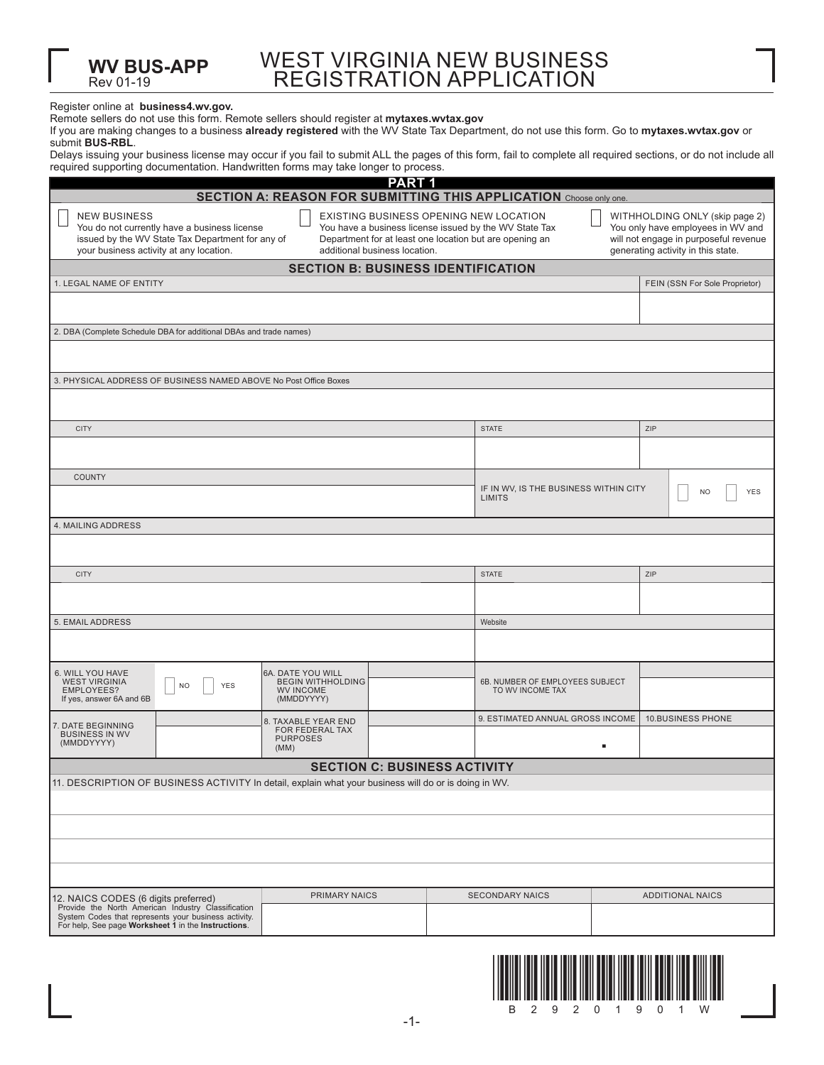| WEST VIRGINIA NEW BUSINESS |
|----------------------------|
| REGISTRATION APPLICATION   |

## Register online at **business4.wv.gov.**

Rev 01-19

**WV BUS-APP**

|  | Remote sellers do not use this form. Remote sellers should register at mytaxes.wvtax.gov |  |
|--|------------------------------------------------------------------------------------------|--|
|  |                                                                                          |  |

If you are making changes to a business **already registered** with the WV State Tax Department, do not use this form. Go to **mytaxes.wvtax.gov** or submit **BUS-RBL**.

Delays issuing your business license may occur if you fail to submit ALL the pages of this form, fail to complete all required sections, or do not include all required supporting documentation. Handwritten forms may take longer to process.

| PART <sub>1</sub>                                                                                                                                                  |                                                                                                                                                    |                                                     |                                                           |  |  |  |  |  |
|--------------------------------------------------------------------------------------------------------------------------------------------------------------------|----------------------------------------------------------------------------------------------------------------------------------------------------|-----------------------------------------------------|-----------------------------------------------------------|--|--|--|--|--|
| <b>SECTION A: REASON FOR SUBMITTING THIS APPLICATION Choose only one.</b>                                                                                          |                                                                                                                                                    |                                                     |                                                           |  |  |  |  |  |
| <b>NEW BUSINESS</b><br>You do not currently have a business license<br>issued by the WV State Tax Department for any of<br>your business activity at any location. | WITHHOLDING ONLY (skip page 2)<br>You only have employees in WV and<br>will not engage in purposeful revenue<br>generating activity in this state. |                                                     |                                                           |  |  |  |  |  |
|                                                                                                                                                                    | <b>SECTION B: BUSINESS IDENTIFICATION</b>                                                                                                          |                                                     |                                                           |  |  |  |  |  |
| 1. LEGAL NAME OF ENTITY                                                                                                                                            |                                                                                                                                                    |                                                     | FEIN (SSN For Sole Proprietor)                            |  |  |  |  |  |
|                                                                                                                                                                    |                                                                                                                                                    |                                                     |                                                           |  |  |  |  |  |
| 2. DBA (Complete Schedule DBA for additional DBAs and trade names)                                                                                                 |                                                                                                                                                    |                                                     |                                                           |  |  |  |  |  |
|                                                                                                                                                                    |                                                                                                                                                    |                                                     |                                                           |  |  |  |  |  |
| 3. PHYSICAL ADDRESS OF BUSINESS NAMED ABOVE No Post Office Boxes                                                                                                   |                                                                                                                                                    |                                                     |                                                           |  |  |  |  |  |
|                                                                                                                                                                    |                                                                                                                                                    |                                                     |                                                           |  |  |  |  |  |
| <b>CITY</b>                                                                                                                                                        |                                                                                                                                                    | <b>STATE</b>                                        | ZIP                                                       |  |  |  |  |  |
|                                                                                                                                                                    |                                                                                                                                                    |                                                     |                                                           |  |  |  |  |  |
| <b>COUNTY</b>                                                                                                                                                      |                                                                                                                                                    | <b>LIMITS</b>                                       | IF IN WV, IS THE BUSINESS WITHIN CITY<br>YES<br><b>NO</b> |  |  |  |  |  |
| <b>4. MAILING ADDRESS</b>                                                                                                                                          |                                                                                                                                                    |                                                     |                                                           |  |  |  |  |  |
|                                                                                                                                                                    |                                                                                                                                                    |                                                     |                                                           |  |  |  |  |  |
| <b>CITY</b>                                                                                                                                                        |                                                                                                                                                    | <b>STATE</b>                                        | ZIP                                                       |  |  |  |  |  |
|                                                                                                                                                                    |                                                                                                                                                    |                                                     |                                                           |  |  |  |  |  |
| 5. EMAIL ADDRESS                                                                                                                                                   |                                                                                                                                                    | Website                                             |                                                           |  |  |  |  |  |
|                                                                                                                                                                    |                                                                                                                                                    |                                                     |                                                           |  |  |  |  |  |
| 6. WILL YOU HAVE<br><b>WEST VIRGINIA</b><br>YES<br><b>NO</b><br>EMPLOYEES?<br>If yes, answer 6A and 6B                                                             | 6A. DATE YOU WILL<br><b>BEGIN WITHHOLDING</b><br><b>WV INCOME</b><br>(MMDDYYYY)                                                                    | 6B. NUMBER OF EMPLOYEES SUBJECT<br>TO WV INCOME TAX |                                                           |  |  |  |  |  |
| 7. DATE BEGINNING<br><b>BUSINESS IN WV</b>                                                                                                                         | 8. TAXABLE YEAR END<br>FOR FEDERAL TAX<br><b>PURPOSES</b>                                                                                          | 9. ESTIMATED ANNUAL GROSS INCOME                    | <b>10.BUSINESS PHONE</b>                                  |  |  |  |  |  |
| (MMDDYYYY)                                                                                                                                                         | (MM)                                                                                                                                               |                                                     | ٠                                                         |  |  |  |  |  |
| <b>SECTION C: BUSINESS ACTIVITY</b>                                                                                                                                |                                                                                                                                                    |                                                     |                                                           |  |  |  |  |  |
| 11. DESCRIPTION OF BUSINESS ACTIVITY In detail, explain what your business will do or is doing in WV.                                                              |                                                                                                                                                    |                                                     |                                                           |  |  |  |  |  |
|                                                                                                                                                                    |                                                                                                                                                    |                                                     |                                                           |  |  |  |  |  |
|                                                                                                                                                                    |                                                                                                                                                    |                                                     |                                                           |  |  |  |  |  |
|                                                                                                                                                                    |                                                                                                                                                    |                                                     |                                                           |  |  |  |  |  |
|                                                                                                                                                                    |                                                                                                                                                    |                                                     |                                                           |  |  |  |  |  |
| 12. NAICS CODES (6 digits preferred)                                                                                                                               | <b>PRIMARY NAICS</b>                                                                                                                               | <b>SECONDARY NAICS</b>                              | <b>ADDITIONAL NAICS</b>                                   |  |  |  |  |  |
| Provide the North American Industry Classification<br>System Codes that represents your business activity.<br>For help, See page Worksheet 1 in the Instructions.  |                                                                                                                                                    |                                                     |                                                           |  |  |  |  |  |

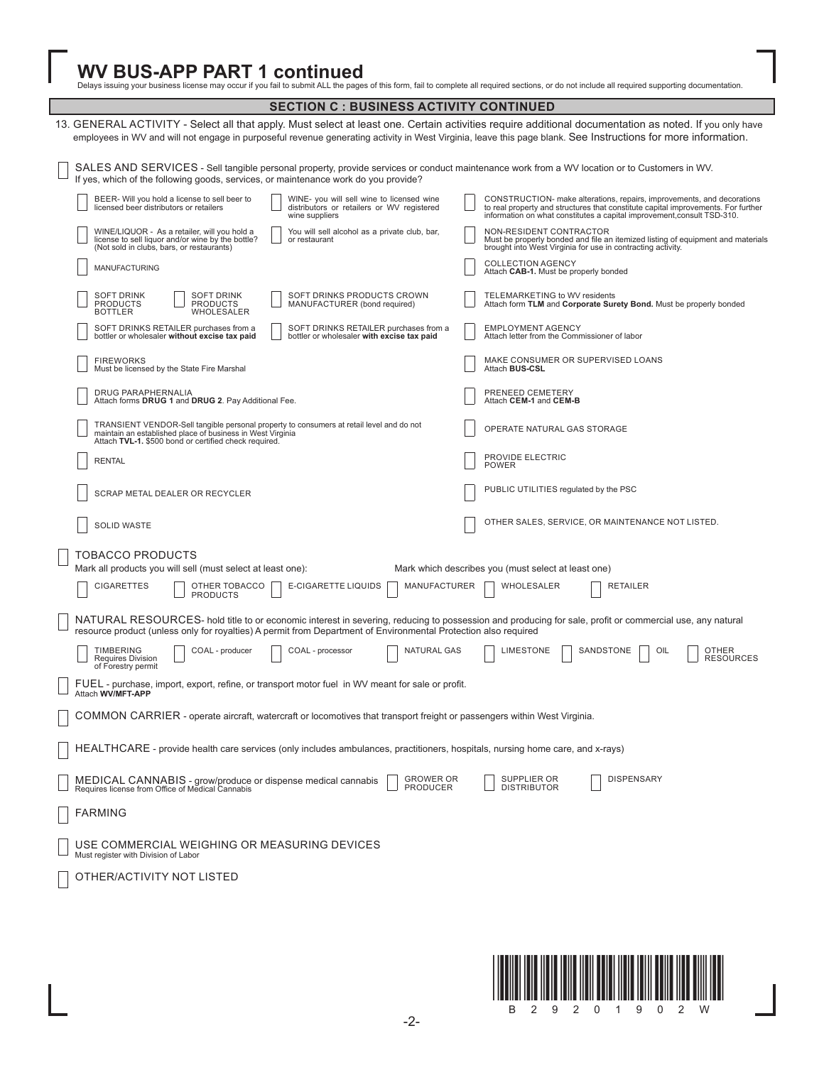WV BUS-APP PART 1 continued<br>Delays issuing your business license may occur if you fail to submit ALL the pages of this form, fail to complete all required sections, or do not include all required supporting documentation.

| <b>SECTION C : BUSINESS ACTIVITY CONTINUED</b>                                                                                                                                                                                                                                                                          |                                                                                                                                                                                                                                        |  |  |  |  |
|-------------------------------------------------------------------------------------------------------------------------------------------------------------------------------------------------------------------------------------------------------------------------------------------------------------------------|----------------------------------------------------------------------------------------------------------------------------------------------------------------------------------------------------------------------------------------|--|--|--|--|
| 13. GENERAL ACTIVITY - Select all that apply. Must select at least one. Certain activities require additional documentation as noted. If you only have<br>employees in WV and will not engage in purposeful revenue generating activity in West Virginia, leave this page blank. See Instructions for more information. |                                                                                                                                                                                                                                        |  |  |  |  |
| SALES AND SERVICES - Sell tangible personal property, provide services or conduct maintenance work from a WV location or to Customers in WV.<br>If yes, which of the following goods, services, or maintenance work do you provide?                                                                                     |                                                                                                                                                                                                                                        |  |  |  |  |
| BEER- Will you hold a license to sell beer to<br>WINE- you will sell wine to licensed wine<br>licensed beer distributors or retailers<br>distributors or retailers or WV registered<br>wine suppliers                                                                                                                   | CONSTRUCTION- make alterations, repairs, improvements, and decorations<br>to real property and structures that constitute capital improvements. For further<br>information on what constitutes a capital improvement, consult TSD-310. |  |  |  |  |
| WINE/LIQUOR - As a retailer, will you hold a<br>You will sell alcohol as a private club, bar,<br>license to sell liquor and/or wine by the bottle?<br>or restaurant<br>(Not sold in clubs, bars, or restaurants)                                                                                                        | NON-RESIDENT CONTRACTOR<br>Must be properly bonded and file an itemized listing of equipment and materials<br>brought into West Virginia for use in contracting activity.                                                              |  |  |  |  |
| MANUFACTURING                                                                                                                                                                                                                                                                                                           | <b>COLLECTION AGENCY</b><br>Attach CAB-1. Must be properly bonded                                                                                                                                                                      |  |  |  |  |
| SOFT DRINKS PRODUCTS CROWN<br><b>SOFT DRINK</b><br><b>SOFT DRINK</b><br><b>PRODUCTS</b><br><b>PRODUCTS</b><br>MANUFACTURER (bond required)<br>WHOLESALER<br><b>BOTTLER</b>                                                                                                                                              | TELEMARKETING to WV residents<br>Attach form TLM and Corporate Surety Bond. Must be properly bonded                                                                                                                                    |  |  |  |  |
| SOFT DRINKS RETAILER purchases from a<br>SOFT DRINKS RETAILER purchases from a<br>bottler or wholesaler without excise tax paid<br>bottler or wholesaler with excise tax paid                                                                                                                                           | <b>EMPLOYMENT AGENCY</b><br>Attach letter from the Commissioner of labor                                                                                                                                                               |  |  |  |  |
| <b>FIREWORKS</b><br>Must be licensed by the State Fire Marshal                                                                                                                                                                                                                                                          | MAKE CONSUMER OR SUPERVISED LOANS<br>Attach BUS-CSL                                                                                                                                                                                    |  |  |  |  |
| DRUG PARAPHERNALIA<br>Attach forms DRUG 1 and DRUG 2. Pay Additional Fee.                                                                                                                                                                                                                                               | PRENEED CEMETERY<br>Attach CEM-1 and CEM-B                                                                                                                                                                                             |  |  |  |  |
| TRANSIENT VENDOR-Sell tangible personal property to consumers at retail level and do not<br>maintain an established place of business in West Virginia<br>Attach TVL-1. \$500 bond or certified check required.                                                                                                         | OPERATE NATURAL GAS STORAGE                                                                                                                                                                                                            |  |  |  |  |
| <b>RENTAL</b>                                                                                                                                                                                                                                                                                                           | PROVIDE ELECTRIC<br><b>POWER</b>                                                                                                                                                                                                       |  |  |  |  |
| SCRAP METAL DEALER OR RECYCLER                                                                                                                                                                                                                                                                                          | PUBLIC UTILITIES regulated by the PSC                                                                                                                                                                                                  |  |  |  |  |
| SOLID WASTE                                                                                                                                                                                                                                                                                                             | OTHER SALES, SERVICE, OR MAINTENANCE NOT LISTED.                                                                                                                                                                                       |  |  |  |  |
| TOBACCO PRODUCTS<br>Mark all products you will sell (must select at least one):                                                                                                                                                                                                                                         | Mark which describes you (must select at least one)                                                                                                                                                                                    |  |  |  |  |
| E-CIGARETTE LIQUIDS<br><b>CIGARETTES</b><br>OTHER TOBACCO<br><b>MANUFACTURER</b><br><b>PRODUCTS</b>                                                                                                                                                                                                                     | WHOLESALER<br><b>RETAILER</b>                                                                                                                                                                                                          |  |  |  |  |
| NATURAL RESOURCES- hold title to or economic interest in severing, reducing to possession and producing for sale, profit or commercial use, any natural<br>resource product (unless only for royalties) A permit from Department of Environmental Protection also required                                              |                                                                                                                                                                                                                                        |  |  |  |  |
| <b>TIMBERING</b><br><b>NATURAL GAS</b><br>COAL - producer<br>COAL - processor<br><b>Requires Division</b><br>of Forestry permit                                                                                                                                                                                         | LIMESTONE<br>SANDSTONE<br>OIL<br>OTHER<br><b>RESOURCES</b>                                                                                                                                                                             |  |  |  |  |
| FUEL - purchase, import, export, refine, or transport motor fuel in WV meant for sale or profit.<br>Attach WV/MFT-APP                                                                                                                                                                                                   |                                                                                                                                                                                                                                        |  |  |  |  |
| COMMON CARRIER - operate aircraft, watercraft or locomotives that transport freight or passengers within West Virginia.                                                                                                                                                                                                 |                                                                                                                                                                                                                                        |  |  |  |  |
| HEALTHCARE - provide health care services (only includes ambulances, practitioners, hospitals, nursing home care, and x-rays)                                                                                                                                                                                           |                                                                                                                                                                                                                                        |  |  |  |  |
| <b>GROWER OR</b><br>MEDICAL CANNABIS - grow/produce or dispense medical cannabis<br><b>PRODUCER</b><br>Requires license from Office of Medical Cannabis                                                                                                                                                                 | SUPPLIER OR<br><b>DISPENSARY</b><br><b>DISTRIBUTOR</b>                                                                                                                                                                                 |  |  |  |  |
| <b>FARMING</b>                                                                                                                                                                                                                                                                                                          |                                                                                                                                                                                                                                        |  |  |  |  |
| USE COMMERCIAL WEIGHING OR MEASURING DEVICES<br>Must register with Division of Labor                                                                                                                                                                                                                                    |                                                                                                                                                                                                                                        |  |  |  |  |
| OTHER/ACTIVITY NOT LISTED                                                                                                                                                                                                                                                                                               |                                                                                                                                                                                                                                        |  |  |  |  |
|                                                                                                                                                                                                                                                                                                                         |                                                                                                                                                                                                                                        |  |  |  |  |

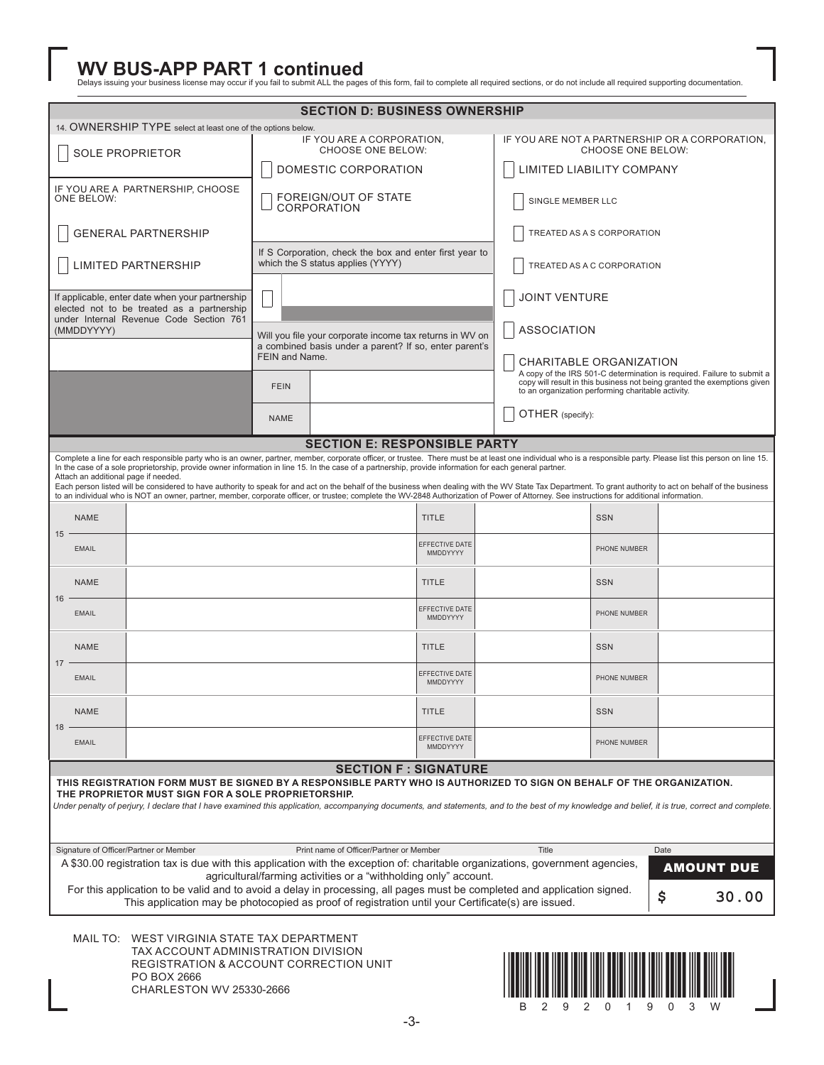WV BUS-APP PART 1 continued<br>Delays issuing your business license may occur if you fail to submit ALL the pages of this form, fail to complete all required sections, or do not include all required supporting documentation.

| <b>SECTION D: BUSINESS OWNERSHIP</b>                                                                                                                                                                                                                                                                              |              |                                                                                                                                                                                                                                                                                                                                                                                                                                                                                                                                                                                                                                                                                                                                                                                                                                      |                                                                                                                                      |                                                                                              |                                                                     |                            |                                                                                                                                                                                                          |              |  |                   |
|-------------------------------------------------------------------------------------------------------------------------------------------------------------------------------------------------------------------------------------------------------------------------------------------------------------------|--------------|--------------------------------------------------------------------------------------------------------------------------------------------------------------------------------------------------------------------------------------------------------------------------------------------------------------------------------------------------------------------------------------------------------------------------------------------------------------------------------------------------------------------------------------------------------------------------------------------------------------------------------------------------------------------------------------------------------------------------------------------------------------------------------------------------------------------------------------|--------------------------------------------------------------------------------------------------------------------------------------|----------------------------------------------------------------------------------------------|---------------------------------------------------------------------|----------------------------|----------------------------------------------------------------------------------------------------------------------------------------------------------------------------------------------------------|--------------|--|-------------------|
|                                                                                                                                                                                                                                                                                                                   |              | 14. OWNERSHIP TYPE select at least one of the options below.                                                                                                                                                                                                                                                                                                                                                                                                                                                                                                                                                                                                                                                                                                                                                                         |                                                                                                                                      |                                                                                              |                                                                     |                            |                                                                                                                                                                                                          |              |  |                   |
| <b>SOLE PROPRIETOR</b>                                                                                                                                                                                                                                                                                            |              | IF YOU ARE A CORPORATION,<br>CHOOSE ONE BELOW:<br>DOMESTIC CORPORATION                                                                                                                                                                                                                                                                                                                                                                                                                                                                                                                                                                                                                                                                                                                                                               |                                                                                                                                      |                                                                                              | IF YOU ARE NOT A PARTNERSHIP OR A CORPORATION.<br>CHOOSE ONE BELOW: |                            |                                                                                                                                                                                                          |              |  |                   |
|                                                                                                                                                                                                                                                                                                                   |              |                                                                                                                                                                                                                                                                                                                                                                                                                                                                                                                                                                                                                                                                                                                                                                                                                                      |                                                                                                                                      |                                                                                              |                                                                     |                            | LIMITED LIABILITY COMPANY                                                                                                                                                                                |              |  |                   |
|                                                                                                                                                                                                                                                                                                                   | ONE BELOW:   | IF YOU ARE A PARTNERSHIP, CHOOSE                                                                                                                                                                                                                                                                                                                                                                                                                                                                                                                                                                                                                                                                                                                                                                                                     |                                                                                                                                      | FOREIGN/OUT OF STATE<br><b>CORPORATION</b>                                                   |                                                                     |                            | SINGLE MEMBER LLC                                                                                                                                                                                        |              |  |                   |
|                                                                                                                                                                                                                                                                                                                   |              | <b>GENERAL PARTNERSHIP</b>                                                                                                                                                                                                                                                                                                                                                                                                                                                                                                                                                                                                                                                                                                                                                                                                           |                                                                                                                                      |                                                                                              |                                                                     |                            | TREATED AS A S CORPORATION                                                                                                                                                                               |              |  |                   |
|                                                                                                                                                                                                                                                                                                                   |              | <b>LIMITED PARTNERSHIP</b>                                                                                                                                                                                                                                                                                                                                                                                                                                                                                                                                                                                                                                                                                                                                                                                                           |                                                                                                                                      | If S Corporation, check the box and enter first year to<br>which the S status applies (YYYY) |                                                                     |                            | TREATED AS A C CORPORATION                                                                                                                                                                               |              |  |                   |
|                                                                                                                                                                                                                                                                                                                   |              | If applicable, enter date when your partnership<br>elected not to be treated as a partnership                                                                                                                                                                                                                                                                                                                                                                                                                                                                                                                                                                                                                                                                                                                                        |                                                                                                                                      |                                                                                              |                                                                     |                            | JOINT VENTURE                                                                                                                                                                                            |              |  |                   |
| (MMDDYYYY)                                                                                                                                                                                                                                                                                                        |              | under Internal Revenue Code Section 761                                                                                                                                                                                                                                                                                                                                                                                                                                                                                                                                                                                                                                                                                                                                                                                              |                                                                                                                                      |                                                                                              |                                                                     |                            | <b>ASSOCIATION</b>                                                                                                                                                                                       |              |  |                   |
|                                                                                                                                                                                                                                                                                                                   |              |                                                                                                                                                                                                                                                                                                                                                                                                                                                                                                                                                                                                                                                                                                                                                                                                                                      | Will you file your corporate income tax returns in WV on<br>a combined basis under a parent? If so, enter parent's<br>FEIN and Name. |                                                                                              |                                                                     | CHARITABLE ORGANIZATION    |                                                                                                                                                                                                          |              |  |                   |
|                                                                                                                                                                                                                                                                                                                   |              |                                                                                                                                                                                                                                                                                                                                                                                                                                                                                                                                                                                                                                                                                                                                                                                                                                      | <b>FEIN</b>                                                                                                                          |                                                                                              |                                                                     |                            | A copy of the IRS 501-C determination is required. Failure to submit a<br>copy will result in this business not being granted the exemptions given<br>to an organization performing charitable activity. |              |  |                   |
|                                                                                                                                                                                                                                                                                                                   |              |                                                                                                                                                                                                                                                                                                                                                                                                                                                                                                                                                                                                                                                                                                                                                                                                                                      | <b>NAME</b>                                                                                                                          |                                                                                              |                                                                     |                            | OTHER (specify):                                                                                                                                                                                         |              |  |                   |
|                                                                                                                                                                                                                                                                                                                   |              |                                                                                                                                                                                                                                                                                                                                                                                                                                                                                                                                                                                                                                                                                                                                                                                                                                      |                                                                                                                                      | <b>SECTION E: RESPONSIBLE PARTY</b>                                                          |                                                                     |                            |                                                                                                                                                                                                          |              |  |                   |
|                                                                                                                                                                                                                                                                                                                   |              | Complete a line for each responsible party who is an owner, partner, member, corporate officer, or trustee. There must be at least one individual who is a responsible party. Please list this person on line 15.<br>In the case of a sole proprietorship, provide owner information in line 15. In the case of a partnership, provide information for each general partner.<br>Attach an additional page if needed.<br>Each person listed will be considered to have authority to speak for and act on the behalf of the business when dealing with the WV State Tax Department. To grant authority to act on behalf of the business<br>to an individual who is NOT an owner, partner, member, corporate officer, or trustee; complete the WV-2848 Authorization of Power of Attorney. See instructions for additional information. |                                                                                                                                      |                                                                                              |                                                                     |                            |                                                                                                                                                                                                          |              |  |                   |
|                                                                                                                                                                                                                                                                                                                   | <b>NAME</b>  |                                                                                                                                                                                                                                                                                                                                                                                                                                                                                                                                                                                                                                                                                                                                                                                                                                      |                                                                                                                                      |                                                                                              | <b>TITLE</b>                                                        |                            |                                                                                                                                                                                                          | <b>SSN</b>   |  |                   |
| 15                                                                                                                                                                                                                                                                                                                | <b>EMAIL</b> |                                                                                                                                                                                                                                                                                                                                                                                                                                                                                                                                                                                                                                                                                                                                                                                                                                      |                                                                                                                                      |                                                                                              | EFFECTIVE DATE<br>MMDDYYYY                                          |                            | PHONE NUMBER                                                                                                                                                                                             |              |  |                   |
| 16                                                                                                                                                                                                                                                                                                                | <b>NAME</b>  |                                                                                                                                                                                                                                                                                                                                                                                                                                                                                                                                                                                                                                                                                                                                                                                                                                      |                                                                                                                                      |                                                                                              | <b>TITLE</b>                                                        |                            | <b>SSN</b>                                                                                                                                                                                               |              |  |                   |
|                                                                                                                                                                                                                                                                                                                   | <b>EMAIL</b> | EFFECTIVE DATE<br>MMDDYYYY                                                                                                                                                                                                                                                                                                                                                                                                                                                                                                                                                                                                                                                                                                                                                                                                           |                                                                                                                                      |                                                                                              | PHONE NUMBER                                                        |                            |                                                                                                                                                                                                          |              |  |                   |
| 17                                                                                                                                                                                                                                                                                                                | <b>NAME</b>  |                                                                                                                                                                                                                                                                                                                                                                                                                                                                                                                                                                                                                                                                                                                                                                                                                                      |                                                                                                                                      |                                                                                              | <b>TITLE</b>                                                        | <b>SSN</b><br>PHONE NUMBER |                                                                                                                                                                                                          |              |  |                   |
| <b>EMAIL</b>                                                                                                                                                                                                                                                                                                      |              |                                                                                                                                                                                                                                                                                                                                                                                                                                                                                                                                                                                                                                                                                                                                                                                                                                      |                                                                                                                                      |                                                                                              | EFFECTIVE DATE<br>MMDDYYYY                                          |                            |                                                                                                                                                                                                          |              |  |                   |
| 18                                                                                                                                                                                                                                                                                                                | NAME         |                                                                                                                                                                                                                                                                                                                                                                                                                                                                                                                                                                                                                                                                                                                                                                                                                                      |                                                                                                                                      |                                                                                              | <b>TITLE</b>                                                        |                            |                                                                                                                                                                                                          | <b>SSN</b>   |  |                   |
|                                                                                                                                                                                                                                                                                                                   | <b>EMAIL</b> |                                                                                                                                                                                                                                                                                                                                                                                                                                                                                                                                                                                                                                                                                                                                                                                                                                      |                                                                                                                                      |                                                                                              | EFFECTIVE DATE<br>MMDDYYYY                                          |                            |                                                                                                                                                                                                          | PHONE NUMBER |  |                   |
|                                                                                                                                                                                                                                                                                                                   |              |                                                                                                                                                                                                                                                                                                                                                                                                                                                                                                                                                                                                                                                                                                                                                                                                                                      |                                                                                                                                      | <b>SECTION F: SIGNATURE</b>                                                                  |                                                                     |                            |                                                                                                                                                                                                          |              |  |                   |
|                                                                                                                                                                                                                                                                                                                   |              | THIS REGISTRATION FORM MUST BE SIGNED BY A RESPONSIBLE PARTY WHO IS AUTHORIZED TO SIGN ON BEHALF OF THE ORGANIZATION.<br>THE PROPRIETOR MUST SIGN FOR A SOLE PROPRIETORSHIP.                                                                                                                                                                                                                                                                                                                                                                                                                                                                                                                                                                                                                                                         |                                                                                                                                      |                                                                                              |                                                                     |                            |                                                                                                                                                                                                          |              |  |                   |
|                                                                                                                                                                                                                                                                                                                   |              | Under penalty of perjury, I declare that I have examined this application, accompanying documents, and statements, and to the best of my knowledge and belief, it is true, correct and complete.                                                                                                                                                                                                                                                                                                                                                                                                                                                                                                                                                                                                                                     |                                                                                                                                      |                                                                                              |                                                                     |                            |                                                                                                                                                                                                          |              |  |                   |
|                                                                                                                                                                                                                                                                                                                   |              |                                                                                                                                                                                                                                                                                                                                                                                                                                                                                                                                                                                                                                                                                                                                                                                                                                      |                                                                                                                                      |                                                                                              |                                                                     |                            |                                                                                                                                                                                                          |              |  |                   |
| Signature of Officer/Partner or Member<br>Print name of Officer/Partner or Member<br>Title<br>Date                                                                                                                                                                                                                |              |                                                                                                                                                                                                                                                                                                                                                                                                                                                                                                                                                                                                                                                                                                                                                                                                                                      |                                                                                                                                      |                                                                                              |                                                                     |                            |                                                                                                                                                                                                          |              |  |                   |
|                                                                                                                                                                                                                                                                                                                   |              | A \$30.00 registration tax is due with this application with the exception of: charitable organizations, government agencies,                                                                                                                                                                                                                                                                                                                                                                                                                                                                                                                                                                                                                                                                                                        |                                                                                                                                      |                                                                                              |                                                                     |                            |                                                                                                                                                                                                          |              |  | <b>AMOUNT DUE</b> |
| agricultural/farming activities or a "withholding only" account.<br>For this application to be valid and to avoid a delay in processing, all pages must be completed and application signed.<br>\$<br>30.00<br>This application may be photocopied as proof of registration until your Certificate(s) are issued. |              |                                                                                                                                                                                                                                                                                                                                                                                                                                                                                                                                                                                                                                                                                                                                                                                                                                      |                                                                                                                                      |                                                                                              |                                                                     |                            |                                                                                                                                                                                                          |              |  |                   |
|                                                                                                                                                                                                                                                                                                                   |              |                                                                                                                                                                                                                                                                                                                                                                                                                                                                                                                                                                                                                                                                                                                                                                                                                                      |                                                                                                                                      |                                                                                              |                                                                     |                            |                                                                                                                                                                                                          |              |  |                   |
|                                                                                                                                                                                                                                                                                                                   |              | MAIL TO: WEST VIRGINIA STATE TAX DEPARTMENT<br>TAX ACCOUNT ADMINISTRATION DIVISION<br>REGISTRATION & ACCOUNT CORRECTION UNIT<br>PO BOX 2666<br><b>CHARLESTON WV 25330-2666</b>                                                                                                                                                                                                                                                                                                                                                                                                                                                                                                                                                                                                                                                       |                                                                                                                                      |                                                                                              |                                                                     |                            |                                                                                                                                                                                                          |              |  |                   |

B29201903W